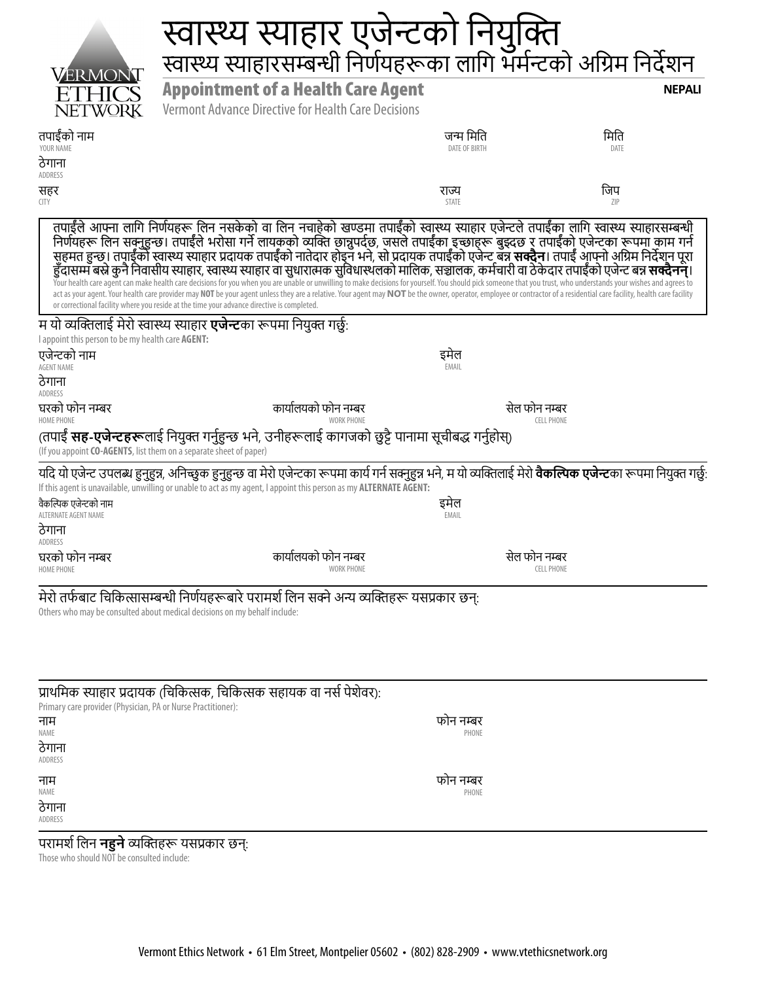|                                                                    | <b>स्वास्थ्य स्याहार एजेन्टको नियुक्ति</b><br>स्वास्थ स्याहारसम्बन्धी निर्णयहरूका लागि भर्मन्टको अग्रिम निर्देशन                                                                                                                                                                                                                                                                                                                                                                                                                                                                                                                                                                                                                                                                                                                                                                                                                            |                            |                                    |
|--------------------------------------------------------------------|---------------------------------------------------------------------------------------------------------------------------------------------------------------------------------------------------------------------------------------------------------------------------------------------------------------------------------------------------------------------------------------------------------------------------------------------------------------------------------------------------------------------------------------------------------------------------------------------------------------------------------------------------------------------------------------------------------------------------------------------------------------------------------------------------------------------------------------------------------------------------------------------------------------------------------------------|----------------------------|------------------------------------|
| VERMO<br><b>NETWORK</b>                                            | <b>Appointment of a Health Care Agent</b><br>Vermont Advance Directive for Health Care Decisions                                                                                                                                                                                                                                                                                                                                                                                                                                                                                                                                                                                                                                                                                                                                                                                                                                            |                            | <b>NEPALI</b>                      |
| तपाईँको नाम<br>YOUR NAME<br>ठेगाना<br>ADDRESS                      |                                                                                                                                                                                                                                                                                                                                                                                                                                                                                                                                                                                                                                                                                                                                                                                                                                                                                                                                             | जन्म मिति<br>DATE OF BIRTH | मिति<br>DATE                       |
| सहर<br><b>CITY</b>                                                 |                                                                                                                                                                                                                                                                                                                                                                                                                                                                                                                                                                                                                                                                                                                                                                                                                                                                                                                                             | राज्य<br>STATE             | जिप<br><b>ZIP</b>                  |
|                                                                    | तपाईँले आफ्ना लागि निर्णयहरू लिन नसकेको वा लिन नचाहेको खण्डमा तपाईँको स्वास्थ्य स्याहार एजेन्टले तपाईँका लागि स्वास्थ्य स्याहारसम्बन्धी<br>निर्णयहरू लिन सक्नुहुन्छ। तपाईँले भरोसा गर्ने लायकको व्यक्ति छान्नुपर्दछ, जसले तपाईँक<br>हुँदासम्म बस्ने कुनै निवासीय स्याहार, स्वास्थ्य स्याहार वा सुधारात्मक सुविधास्थलको मालिक, सञ्चालक, कर्मचारी वा ठेकेदार तपाईँको एजेन्ट बन्न <b>सक्दैनन्</b> ।<br>Your health care agent can make health care decisions for you when you are unable or unwilling to make decisions for yourself. You should pick someone that you trust, who understands your wishes and agrees to<br>act as your agent. Your health care provider may NOT be your agent unless they are a relative. Your agent may NOT be the owner, operator, employee or contractor of a residential care facility, health care facility<br>or correctional facility where you reside at the time your advance directive is completed. |                            |                                    |
| I appoint this person to be my health care AGENT:                  | म यो व्यक्तिलाई मेरो स्वास्थ्य स्याहार <b>एजेन्ट</b> का रूपमा नियुक्त गर्छ:                                                                                                                                                                                                                                                                                                                                                                                                                                                                                                                                                                                                                                                                                                                                                                                                                                                                 |                            |                                    |
| एजेन्टको नाम<br><b>AGENT NAME</b>                                  |                                                                                                                                                                                                                                                                                                                                                                                                                                                                                                                                                                                                                                                                                                                                                                                                                                                                                                                                             | इमेल<br>EMAIL              |                                    |
| ठेगाना<br>ADDRESS                                                  |                                                                                                                                                                                                                                                                                                                                                                                                                                                                                                                                                                                                                                                                                                                                                                                                                                                                                                                                             |                            |                                    |
| घरको फोन नम्बर<br><b>HOME PHONE</b>                                | कार्यालयको फोन नम्बर<br><b>WORK PHONE</b>                                                                                                                                                                                                                                                                                                                                                                                                                                                                                                                                                                                                                                                                                                                                                                                                                                                                                                   |                            | सेल फोन नम्बर<br><b>CELL PHONE</b> |
| (If you appoint CO-AGENTS, list them on a separate sheet of paper) | (तपाईं <b>सह-एजेन्टहरू</b> लाई नियुक्त गर्नुहुन्छ भने, उनीहरूलाई कागजको छुट्टै पानामा सूचीबद्ध गर्नुहोस्)                                                                                                                                                                                                                                                                                                                                                                                                                                                                                                                                                                                                                                                                                                                                                                                                                                   |                            |                                    |
|                                                                    | यदि यो एजेन्ट उपलब्ध हुनुहुन्न, अनिच्छुक हुनुहुन्छ वा मेरो एजेन्टका रूपमा कार्य गर्न सक्नुहुन्न भने, म यो व्यक्तिलाई मेरो <b>वैकल्पिक एजेन्ट</b> का रूपमा नियुक्त गर्छ:<br>If this agent is unavailable, unwilling or unable to act as my agent, I appoint this person as my <b>ALTERNATE AGENT:</b>                                                                                                                                                                                                                                                                                                                                                                                                                                                                                                                                                                                                                                        |                            |                                    |
| वैकल्पिक एजेन्टको नाम<br>ALTERNATE AGENT NAME<br>ठेगाना<br>ADDRESS |                                                                                                                                                                                                                                                                                                                                                                                                                                                                                                                                                                                                                                                                                                                                                                                                                                                                                                                                             | इमेल<br>EMAIL              |                                    |
| घरको फोन नम्बर<br><b>HOME PHONE</b>                                | कार्यालयको फोन नम्बर<br><b>WORK PHONE</b>                                                                                                                                                                                                                                                                                                                                                                                                                                                                                                                                                                                                                                                                                                                                                                                                                                                                                                   |                            | सेल फोन नम्बर<br><b>CELL PHONE</b> |
|                                                                    | मेरो तर्फबाट चिकित्सासम्बन्धी निर्णयहरूबारे परामर्श लिन सक्ने अन्य व्यक्तिहरू यसप्रकार छन्:<br>Others who may be consulted about medical decisions on my behalf include:                                                                                                                                                                                                                                                                                                                                                                                                                                                                                                                                                                                                                                                                                                                                                                    |                            |                                    |
|                                                                    | प्राथमिक स्याहार प्रदायक (चिकित्सक, चिकित्सक सहायक वा नर्स पेशेवर):                                                                                                                                                                                                                                                                                                                                                                                                                                                                                                                                                                                                                                                                                                                                                                                                                                                                         |                            |                                    |

| Primary care provider (Physician, PA or Nurse Practitioner): | $\mathbf{z}$ |
|--------------------------------------------------------------|--------------|
| नाम                                                          | फोन नम्बर    |
| NAME                                                         | PHONE        |
| ठेगाना                                                       |              |
| ADDRESS                                                      |              |
| नाम                                                          | फोन नम्बर    |
| NAME                                                         | PHONE        |
| ठेगाना                                                       |              |
| ADDRESS                                                      |              |

#### परामर्शलिन **नहुने** व्यक्तिहरू यसप्रकार छन्:

Those who should NOT be consulted include: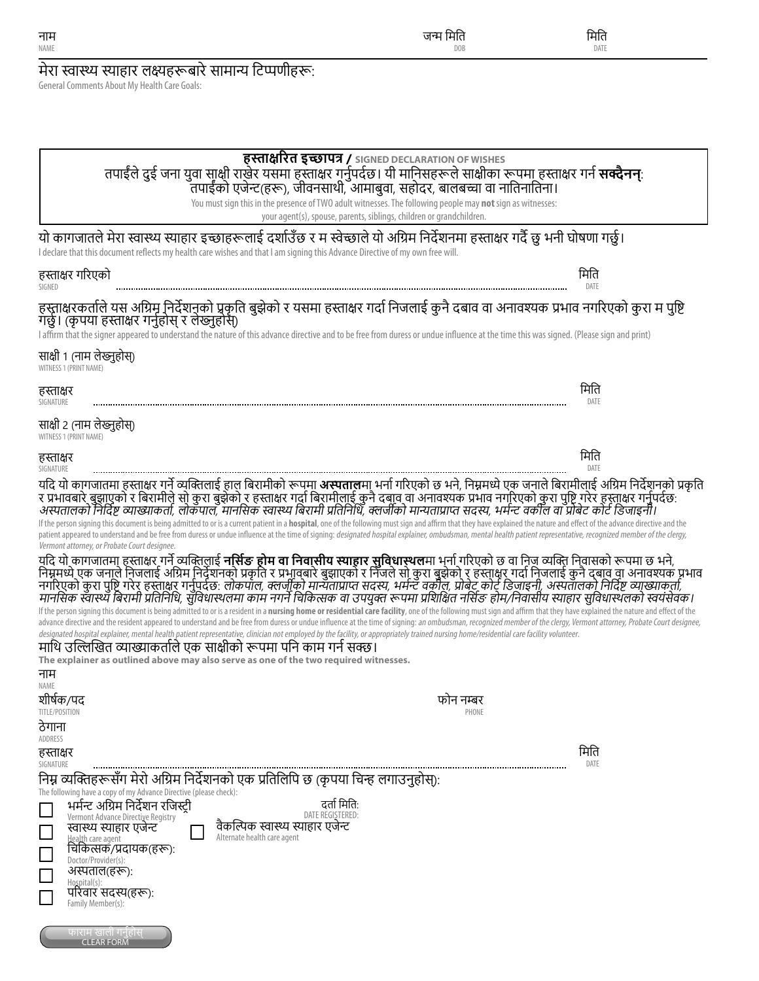| मेरा स्वास्थ्य स्याहार लक्ष्यहरूबारे सामान्य टिप्पणीहरू:<br>General Comments About My Health Care Goals:                                                                                                                                                                                                                                                                                                                                                                                                                                                                                                                                                                                                                                                                                                                                                                                                                                                                                                                                                                                                                                                                                                                                                                                                                                                                                                                                                                                                                                                                                                                                                                                                                                                                                                                                                                                                                                                                                                                                                                                                                                                                             |              |
|--------------------------------------------------------------------------------------------------------------------------------------------------------------------------------------------------------------------------------------------------------------------------------------------------------------------------------------------------------------------------------------------------------------------------------------------------------------------------------------------------------------------------------------------------------------------------------------------------------------------------------------------------------------------------------------------------------------------------------------------------------------------------------------------------------------------------------------------------------------------------------------------------------------------------------------------------------------------------------------------------------------------------------------------------------------------------------------------------------------------------------------------------------------------------------------------------------------------------------------------------------------------------------------------------------------------------------------------------------------------------------------------------------------------------------------------------------------------------------------------------------------------------------------------------------------------------------------------------------------------------------------------------------------------------------------------------------------------------------------------------------------------------------------------------------------------------------------------------------------------------------------------------------------------------------------------------------------------------------------------------------------------------------------------------------------------------------------------------------------------------------------------------------------------------------------|--------------|
|                                                                                                                                                                                                                                                                                                                                                                                                                                                                                                                                                                                                                                                                                                                                                                                                                                                                                                                                                                                                                                                                                                                                                                                                                                                                                                                                                                                                                                                                                                                                                                                                                                                                                                                                                                                                                                                                                                                                                                                                                                                                                                                                                                                      |              |
|                                                                                                                                                                                                                                                                                                                                                                                                                                                                                                                                                                                                                                                                                                                                                                                                                                                                                                                                                                                                                                                                                                                                                                                                                                                                                                                                                                                                                                                                                                                                                                                                                                                                                                                                                                                                                                                                                                                                                                                                                                                                                                                                                                                      |              |
| हस्ताक्षरित इच्छापत्र / SIGNED DECLARATION OF WISHES<br>तपाईंले दुई जना युवा साक्षी राखेर यसमा हस्ताक्षर गर्नुपर्दछ। यी मानिसहरूले साक्षीका रूपमा हस्ताक्षर गर्न <b>सक्दैनन्</b><br>तपाईंको एजेन्ट(हरू), जीवनसाथी, आमाबुवा, सहोदर, बालबच्चा वा नातिनातिना।<br>You must sign this in the presence of TWO adult witnesses. The following people may not sign as witnesses:<br>your agent(s), spouse, parents, siblings, children or grandchildren.                                                                                                                                                                                                                                                                                                                                                                                                                                                                                                                                                                                                                                                                                                                                                                                                                                                                                                                                                                                                                                                                                                                                                                                                                                                                                                                                                                                                                                                                                                                                                                                                                                                                                                                                     |              |
| यो कागजातले मेरा स्वास्थ्य स्याहार इच्छाहरूलाई दर्शाउँछ र म स्वेच्छाले यो अग्रिम निर्देशनमा हस्ताक्षर गर्दै छु भनी घोषणा गर्छु।<br>I declare that this document reflects my health care wishes and that I am signing this Advance Directive of my own free will.                                                                                                                                                                                                                                                                                                                                                                                                                                                                                                                                                                                                                                                                                                                                                                                                                                                                                                                                                                                                                                                                                                                                                                                                                                                                                                                                                                                                                                                                                                                                                                                                                                                                                                                                                                                                                                                                                                                     |              |
| हस्ताक्षर गरिएको<br>SIGNED                                                                                                                                                                                                                                                                                                                                                                                                                                                                                                                                                                                                                                                                                                                                                                                                                                                                                                                                                                                                                                                                                                                                                                                                                                                                                                                                                                                                                                                                                                                                                                                                                                                                                                                                                                                                                                                                                                                                                                                                                                                                                                                                                           | मिति<br>DATE |
| हस्ताक्षरकर्ताले यस अग्रिमू निर्देशनुको प्रकृति बुझेको र यसमा हस्ताक्षर गर्दा निजलाई कुनै दबाव वा अनावश्यक प्रभाव नगरिएको कुरा म पुष्टि<br>गर्छ। (कृपया हस्ताक्षर गर्नुहोस् र लेख्नुहोस्)<br>I affirm that the signer appeared to understand the nature of this advance directive and to be free from duress or undue influence at the time this was signed. (Please sign and print)                                                                                                                                                                                                                                                                                                                                                                                                                                                                                                                                                                                                                                                                                                                                                                                                                                                                                                                                                                                                                                                                                                                                                                                                                                                                                                                                                                                                                                                                                                                                                                                                                                                                                                                                                                                                 |              |
| साक्षी 1 (नाम लेख्नुहोस्)<br>WITNESS 1 (PRINT NAME)                                                                                                                                                                                                                                                                                                                                                                                                                                                                                                                                                                                                                                                                                                                                                                                                                                                                                                                                                                                                                                                                                                                                                                                                                                                                                                                                                                                                                                                                                                                                                                                                                                                                                                                                                                                                                                                                                                                                                                                                                                                                                                                                  |              |
| हस्ताक्षर<br>SIGNATURE                                                                                                                                                                                                                                                                                                                                                                                                                                                                                                                                                                                                                                                                                                                                                                                                                                                                                                                                                                                                                                                                                                                                                                                                                                                                                                                                                                                                                                                                                                                                                                                                                                                                                                                                                                                                                                                                                                                                                                                                                                                                                                                                                               | मिति<br>DATE |
| साक्षी २ (नाम लेख्नुहोस्)<br>WITNESS 1 (PRINT NAME)                                                                                                                                                                                                                                                                                                                                                                                                                                                                                                                                                                                                                                                                                                                                                                                                                                                                                                                                                                                                                                                                                                                                                                                                                                                                                                                                                                                                                                                                                                                                                                                                                                                                                                                                                                                                                                                                                                                                                                                                                                                                                                                                  |              |
| हस्ताक्षर<br>SIGNATURE                                                                                                                                                                                                                                                                                                                                                                                                                                                                                                                                                                                                                                                                                                                                                                                                                                                                                                                                                                                                                                                                                                                                                                                                                                                                                                                                                                                                                                                                                                                                                                                                                                                                                                                                                                                                                                                                                                                                                                                                                                                                                                                                                               | मिति<br>DATE |
| र प्रभावबारे बुझाएको र बिरामीले सो कुरा बुझेको र हस्ताक्षर गर्दा बिरामीलाई कुनै दबाव वा अनावश्यक प्रभाव नगरिएको कुरा पुष्टि गरेर हस्ताक्षर गर्नुपर्दछ:<br>अस्पतालको निर्दिष्ट व्याख्याकर्ता, लोकपाल, मानसिक स्वास्थ्य बिरामी प्र<br>If the person signing this document is being admitted to or is a current patient in a hospital, one of the following must sign and affirm that they have explained the nature and effect of the advance directive and the<br>patient appeared to understand and be free from duress or undue influence at the time of signing: designated hospital explainer, ombudsman, mental health patient representative, recognized member of the clergy,<br>Vermont attorney, or Probate Court designee.<br>यदि यो कागजातमा हस्ताक्षर गर्ने व्यक्तिलाई <b>नर्सिङ होम वा निवासीय स्याहार सुविधास्थल</b> मा भर्ना गरिएको छ वा निज व्यक्ति निवासको रूपमा छ भने,<br>निम्नमध्ये एक जनाले निजलाई अग्रिम निर्देशनको प्रकृति र प्रभावबारे बुझाएको र निजले सो कुरा बुझेको र हस्ताकर गर्दा निजलाई कुनै दबाव वा अनावश्यक प्रभाव<br>नगरिएको कुरा पुष्टि गरेर हस्ताक्षर गर्नुपर्दछ: <i>लोकपाल, क्लर्जीको मान्यत</i><br>मानसिक स्वास्थ्य बिरामी प्रतिनिधि, सुविधास्थलमा काम नगर्ने चिकित्सक वा उपयुक्त रूपमा प्रशिक्षित नर्सिङ होम/निवासीय स्याहार सुविधास्थलको स्वयंसेवक।<br>If the person signing this document is being admitted to or is a resident in a nursing home or residential care facility, one of the following must sign and affirm that they have explained the nature and effect of the<br>advance directive and the resident appeared to understand and be free from duress or undue influence at the time of signing: an ombudsman, recognized member of the clergy, Vermont attorney, Probate Court designee,<br>designated hospital explainer, mental health patient representative, clinician not employed by the facility, or appropriately trained nursing home/residential care facility volunteer.<br>माथि उल्लिखित व्याख्याकर्ताले एक साक्षीको रूपमा पनि काम गर्न सक्छ।<br>The explainer as outlined above may also serve as one of the two required witnesses.<br>नाम<br>NAME<br>शीर्षक/पद<br>फोन नम्बर<br>TITLE/POSITION<br>PHONE<br>ठेगाना |              |
| ADDRESS<br>हस्ताक्षर                                                                                                                                                                                                                                                                                                                                                                                                                                                                                                                                                                                                                                                                                                                                                                                                                                                                                                                                                                                                                                                                                                                                                                                                                                                                                                                                                                                                                                                                                                                                                                                                                                                                                                                                                                                                                                                                                                                                                                                                                                                                                                                                                                 | मिति         |
| SIGNATURE<br>निम्न व्यक्तिहरूसँग मेरो अग्रिम निर्देशनको एक प्रतिलिपि छ (कृपया चिन्ह लगाउनुहोस्):                                                                                                                                                                                                                                                                                                                                                                                                                                                                                                                                                                                                                                                                                                                                                                                                                                                                                                                                                                                                                                                                                                                                                                                                                                                                                                                                                                                                                                                                                                                                                                                                                                                                                                                                                                                                                                                                                                                                                                                                                                                                                     | DATE         |
| The following have a copy of my Advance Directive (please check):<br>दर्ता मिति:<br>भर्मन्ट अग्रिम निर्देशन रजिस्टी<br>DATE REGISTERED:<br>Vermont Advance Directive Registry<br>स्वास्थ्य स्याहार एजेन्ट<br>वैकल्पिक स्वास्थ्य स्याहार एजेन्ट<br>Alternate health care agent<br>Health care agent<br>चिकित्सकॅ/प्रदायक(हरू):<br>Doctor/Provider(s):<br>अस्पताल(हरू):<br>Hospital(s):<br>परिवार सदस्य(हरू):<br>Family Member(s):<br>र्काराम खाला गनुहास्<br><b>CLEAR FORM</b>                                                                                                                                                                                                                                                                                                                                                                                                                                                                                                                                                                                                                                                                                                                                                                                                                                                                                                                                                                                                                                                                                                                                                                                                                                                                                                                                                                                                                                                                                                                                                                                                                                                                                                        |              |

जन्म मिति DOB

मिति DATE

**नाम**<br><sub>NAME</sub>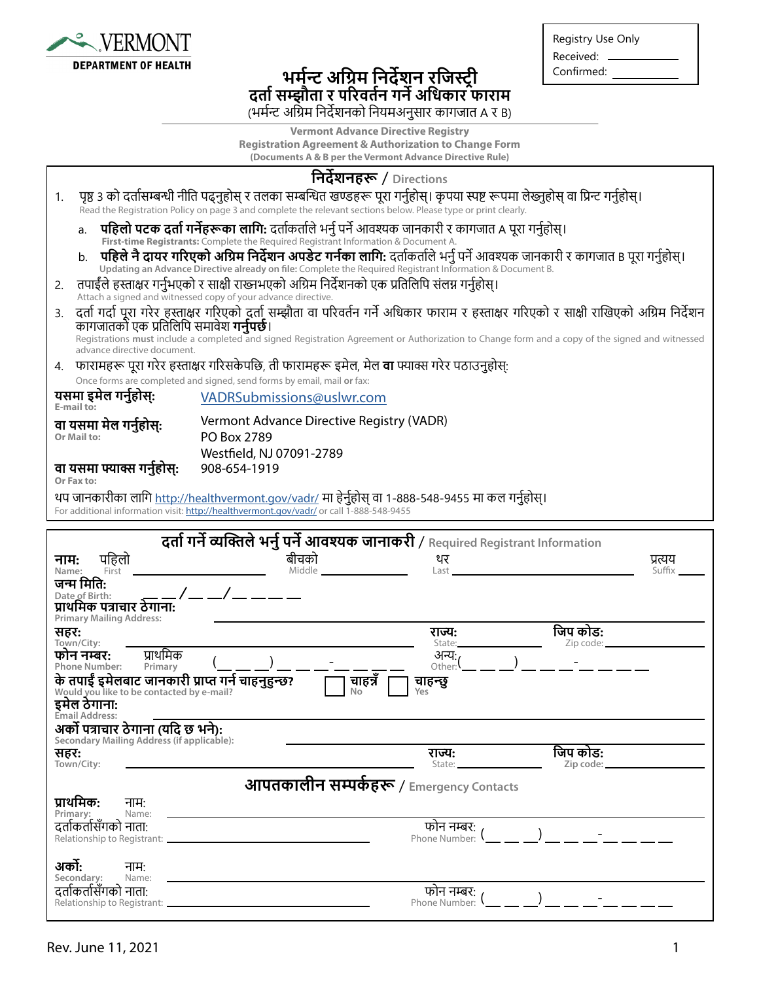

## **भर्मन्ट अग्रिम निर्देशन रजिस्ट्री दर्ता सम्झौता र परिवर्तन गर्ने अधिकार फाराम** (भर्मन्ट अग्रिम निर्देशनको नियमअनुसार कागजात A र B)

| Registry Use Only |
|-------------------|
| Received:         |
| Confirmed:        |
|                   |

**Vermont Advance Directive Registry Registration Agreement & Authorization to Change Form (Documents A & B per the Vermont Advance Directive Rule)**

|        |                                                                                                                                                                                                                                                                                                                                                 |                                                                                                                                                                                                     | निर्देशनहरू / Directions                 |                               |          |                                    |
|--------|-------------------------------------------------------------------------------------------------------------------------------------------------------------------------------------------------------------------------------------------------------------------------------------------------------------------------------------------------|-----------------------------------------------------------------------------------------------------------------------------------------------------------------------------------------------------|------------------------------------------|-------------------------------|----------|------------------------------------|
| 1.     | . पृष्ठ ३ को दर्तासम्बन्धी नीति पढ्नुहोस् र तलका सम्बन्धित खण्डहरू पूरा गर्नुहोस्। कृपया स्पष्ट रूपमा लेख्नुहोस् वा प्रिन्ट गर्नुहोस्।                                                                                                                                                                                                          |                                                                                                                                                                                                     |                                          |                               |          |                                    |
|        | Read the Registration Policy on page 3 and complete the relevant sections below. Please type or print clearly.                                                                                                                                                                                                                                  |                                                                                                                                                                                                     |                                          |                               |          |                                    |
|        | पहिलो पटक दर्ता गर्नेहरूका लागि: दर्ताकर्ताले भर्नु पर्ने आवश्यक जानकारी र कागजात A पूरा गर्नुहोस्।<br>a.                                                                                                                                                                                                                                       |                                                                                                                                                                                                     |                                          |                               |          |                                    |
|        | First-time Registrants: Complete the Required Registrant Information & Document A.<br>पहिले नै दायर गरिएको अग्रिम निर्देशन अपडेट गर्नका लागि: दर्ताकर्ताले भर्नु पर्ने आवश्यक जानकारी र कागजात B पूरा गर्नुहोस्।<br>b <sub>1</sub><br>Updating an Advance Directive already on file: Complete the Required Registrant Information & Document B. |                                                                                                                                                                                                     |                                          |                               |          |                                    |
| 2.     |                                                                                                                                                                                                                                                                                                                                                 | तपाईंले हस्ताक्षर गर्नुभएको र साक्षी राख्नभएको अग्रिम निर्देशनको एक प्रतिलिपि संलग्न गर्नुहोस्।<br>Attach a signed and witnessed copy of your advance directive.                                    |                                          |                               |          |                                    |
| 3.     | कागजातकों एक प्रतिलिपि समावेश <b>गर्नुपर्छ</b> ।                                                                                                                                                                                                                                                                                                | दर्ता गर्दा पूरा गरेर हुस्ताक्षर गरिएको दूर्ता सम्झौता वा परिवर्तन गर्ने अधिकार फाराम र हस्ताक्षर गरिएको र साक्षी राखिएको अग्रिम निर्देशन                                                           |                                          |                               |          |                                    |
|        | advance directive document.                                                                                                                                                                                                                                                                                                                     | Registrations must include a completed and signed Registration Agreement or Authorization to Change form and a copy of the signed and witnessed                                                     |                                          |                               |          |                                    |
|        |                                                                                                                                                                                                                                                                                                                                                 | 4.    फारामहरू पूरा गरेर हस्ताक्षर गरिसकेपछि, ती फारामहरू इमेल, मेल <b>वा</b> फ्याक्स गरेर पठाउनुहोस्:                                                                                              |                                          |                               |          |                                    |
|        |                                                                                                                                                                                                                                                                                                                                                 | Once forms are completed and signed, send forms by email, mail or fax:                                                                                                                              |                                          |                               |          |                                    |
|        | यसमा इमेल गर्नुहोस्:<br>E-mail to:                                                                                                                                                                                                                                                                                                              | VADRSubmissions@uslwr.com                                                                                                                                                                           |                                          |                               |          |                                    |
|        | वा यसमा मेल गर्नुहोस्:                                                                                                                                                                                                                                                                                                                          | Vermont Advance Directive Registry (VADR)                                                                                                                                                           |                                          |                               |          |                                    |
|        | Or Mail to:                                                                                                                                                                                                                                                                                                                                     | PO Box 2789                                                                                                                                                                                         |                                          |                               |          |                                    |
|        | वा यसमा फ्याक्स गर्नुहोस्:<br>Or Fax to:                                                                                                                                                                                                                                                                                                        | Westfield, NJ 07091-2789<br>908-654-1919                                                                                                                                                            |                                          |                               |          |                                    |
|        |                                                                                                                                                                                                                                                                                                                                                 | थप जानकारीका लागि <u>http://healthvermont.gov/vadr/</u> मा हेर्नुहोस् वा 1-888-548-9455 मा कल गर्नुहोस्।<br>For additional information visit: http://healthvermont.gov/vadr/ or call 1-888-548-9455 |                                          |                               |          |                                    |
|        |                                                                                                                                                                                                                                                                                                                                                 |                                                                                                                                                                                                     |                                          |                               |          |                                    |
|        |                                                                                                                                                                                                                                                                                                                                                 |                                                                                                                                                                                                     |                                          |                               |          |                                    |
|        |                                                                                                                                                                                                                                                                                                                                                 | दर्ता गर्ने व्यक्तिले भर्नु पर्ने आवश्यक जानाकरी / Required Registrant Information                                                                                                                  |                                          |                               |          |                                    |
| नाम:   | पहिलो                                                                                                                                                                                                                                                                                                                                           | बीचको                                                                                                                                                                                               |                                          | थर                            |          | प्रत्यय                            |
| Name:  | First<br>जन्म मिति:                                                                                                                                                                                                                                                                                                                             | Middle                                                                                                                                                                                              |                                          | Last                          |          | Suffix                             |
|        | Date of Birth:                                                                                                                                                                                                                                                                                                                                  |                                                                                                                                                                                                     |                                          |                               |          |                                    |
|        | प्राथमिक पत्राचार ठेगाना:<br><b>Primary Mailing Address:</b>                                                                                                                                                                                                                                                                                    |                                                                                                                                                                                                     |                                          |                               |          |                                    |
| सहर:   |                                                                                                                                                                                                                                                                                                                                                 |                                                                                                                                                                                                     |                                          | राज्य:<br>State:              | जिप कोड: | Zip code: ___                      |
|        | Town/City:<br>प्राथमिक<br>फोन नम्बर:                                                                                                                                                                                                                                                                                                            |                                                                                                                                                                                                     |                                          | अन्य∶                         |          |                                    |
|        | Phone Number:<br>Primary<br>के तपाईं इमेलबाट जानकारी प्राप्त गर्न चाहनुहुन्छ?                                                                                                                                                                                                                                                                   |                                                                                                                                                                                                     | चाहन्न<br>चाहन्छु                        | Other:                        |          |                                    |
|        | Would you like to be contacted by e-mail?                                                                                                                                                                                                                                                                                                       |                                                                                                                                                                                                     | No<br>Yes                                |                               |          |                                    |
|        | इमेल ठेगाना:<br><b>Email Address:</b>                                                                                                                                                                                                                                                                                                           |                                                                                                                                                                                                     |                                          |                               |          |                                    |
|        | अर्को पत्राचार ठेगाना (यदि छ भने):<br>Secondary Mailing Address (if applicable):                                                                                                                                                                                                                                                                |                                                                                                                                                                                                     |                                          |                               |          |                                    |
| सहर:   |                                                                                                                                                                                                                                                                                                                                                 |                                                                                                                                                                                                     |                                          | राज्य:<br>State:              | जिप कोड: |                                    |
|        | Town/City:                                                                                                                                                                                                                                                                                                                                      |                                                                                                                                                                                                     |                                          |                               |          |                                    |
|        | प्राथमिक:                                                                                                                                                                                                                                                                                                                                       |                                                                                                                                                                                                     | आपतकालीन सम्पर्कहरू / Emergency Contacts |                               |          |                                    |
|        | नाम:<br>Primary:<br>Name:                                                                                                                                                                                                                                                                                                                       |                                                                                                                                                                                                     |                                          |                               |          |                                    |
|        | दर्ताकर्तासँगको नाता:                                                                                                                                                                                                                                                                                                                           |                                                                                                                                                                                                     |                                          | फोन नम्बर:<br>Phone Number:   |          |                                    |
|        |                                                                                                                                                                                                                                                                                                                                                 |                                                                                                                                                                                                     |                                          |                               |          |                                    |
| अर्को: | नामः<br>Secondary:<br>Name:                                                                                                                                                                                                                                                                                                                     |                                                                                                                                                                                                     |                                          |                               |          |                                    |
|        | दर्ताकर्तासँगको नाता:                                                                                                                                                                                                                                                                                                                           |                                                                                                                                                                                                     |                                          | फोन नम्बर:<br>Phone Number: \ |          | $\begin{array}{ccc} \n\end{array}$ |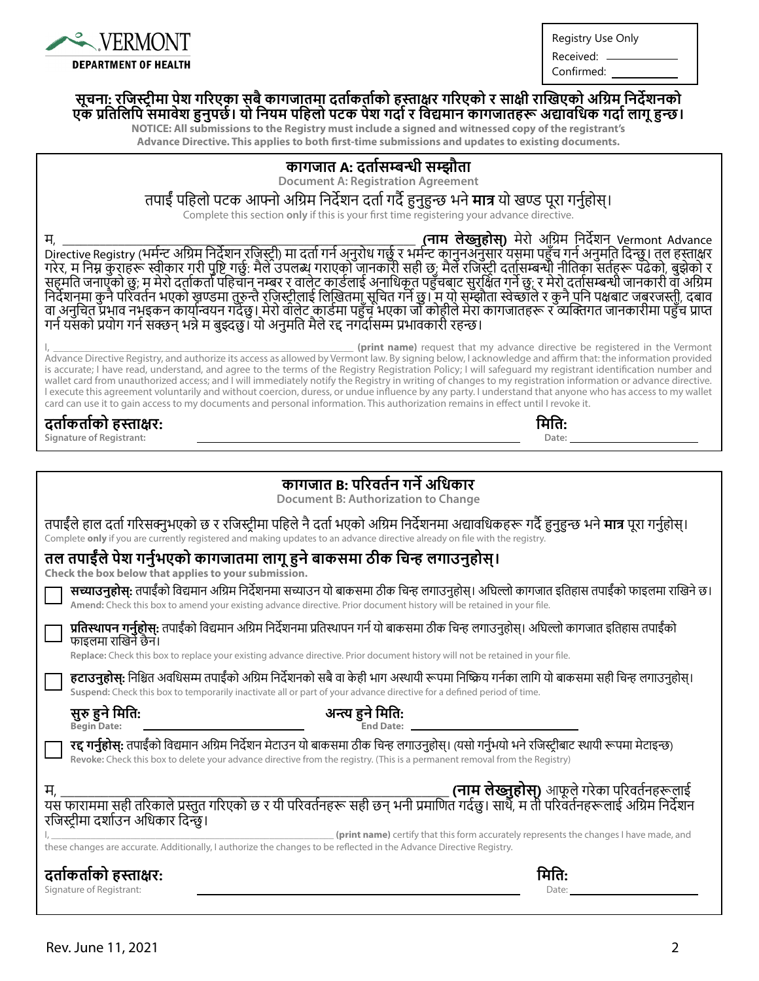

Registry Use Only

Received: \_ Confirmed:

**मिति: Date:**

#### **सूचना: रजिस्ट्रीमा पेश गरिएका सबै कागजातमा दर्ताकर्ताको हस्ताक्षर गरिएको र साक्षी राखिएको अग्रिम निर्देशनको एक प्रतिलिपि समावेश हुनुपर्छ। यो नियम पहिलो पटक पेश गर्दार विद्यमान कागजातहरू अद्यावधिक गर्दा लागू हुन्छ।**

**NOTICE: All submissions to the Registry must include a signed and witnessed copy of the registrant's**

**Advance Directive. This applies to both first-time submissions and updates to existing documents.**

### **कागजात A: दर्तासम्बन्धी सम्झौता**

**Document A: Registration Agreement**

#### तपाईं पहिलो पटक आफ्नो अग्रिम निर्देशन दर्तागर्दै हुनुहुन्छ भने **मात्र** यो खण्ड पूरा गर्नुहोस्।

Complete this section **only** if this is your first time registering your advance directive.

म, \_\_\_\_\_\_\_\_\_\_\_\_\_\_\_\_\_\_\_\_\_\_\_\_\_\_\_\_\_\_\_\_\_\_\_\_\_\_\_\_\_\_\_\_\_\_\_\_\_\_\_\_\_\_\_\_\_ **(नाम लेख्नुुहोस्)** मेरो अग्रिम निर्देशन Vermont Advance Directive Registry (भर्मन्ट अग्रिम निर्देशन रजिस्ट्री) मा दर्तागर्न अनुरोध गर्छु र भर्मन्ट कानुनअनुसार यसमा पहुँच गर्न अनुमति दिन्छु। तल हस्ताक्षर गरेर, म निम्न कुराहरू स्वीकार गरी पुष्टि गर्छु: मैले उपलब्ध गराएको जानकारी सही छ; मैले रजिस्ट्री दर्तासम्बन्धी नीतिका सर्तहरू पढेको, बुझेको र सहमति जनाएको छु; म मेरो दर्ताकर्ता पहिचान नम्बर र वालेट कार्डलाई अनाधिकृत पहुंचबाट सुरक्षित गर्ने छु; र मेरो दर्तासम्बन्धी जानकारी वा अग्रिम निर्देशनमा कुनै परिवर्तन भएको खण्डमा तुरुन्तै रजिस्ट्रीलाई लिखितमा सूचित गर्ने छु। म यो सम्झौता स्वेच्छाले र कुनै पनि पक्षबाट जबरजस्ती, दबाव वा अनुचित प्रभाव नभइकन कार्यान्वयन गर्दछु । मेरो वालेट कार्डमा पहुँच भएका जो कोहीले मेरा कागजातहरू र व्यक्तिगत जानकारीमा पहुँच प्राप्त गर्न यसको प्रयोग गर्न सक्छन् भन्नेम बुझ्दछु । यो अनुमति मैले रद्द नगर्दासम्म प्रभावकारी रहन्छ।

(print name) request that my advance directive be registered in the Vermont Advance Directive Registry, and authorize its access as allowed by Vermont law. By signing below, I acknowledge and affirm that: the information provided is accurate; I have read, understand, and agree to the terms of the Registry Registration Policy; I will safeguard my registrant identification number and wallet card from unauthorized access; and I will immediately notify the Registry in writing of changes to my registration information or advance directive. I execute this agreement voluntarily and without coercion, duress, or undue influence by any party. I understand that anyone who has access to my wallet card can use it to gain access to my documents and personal information. This authorization remains in effect until I revoke it.

## **दर्ताकर्ताको हस्ताक्षर:**

**Signature of Registrant:**

| कागजात B: परिवर्तन गर्ने अधिकार                                                                                                                                                                                                                                                    |
|------------------------------------------------------------------------------------------------------------------------------------------------------------------------------------------------------------------------------------------------------------------------------------|
| <b>Document B: Authorization to Change</b>                                                                                                                                                                                                                                         |
| तपाईंले हाल दर्ता गरिसक्नुभएको छ र रजिस्ट्रीमा पहिले नै दर्ता भएको अग्रिम निर्देशनमा अद्यावधिकहरू गर्दै हुनुहुन्छ भने <b>मात्र</b> पूरा गर्नुहोस्।<br>Complete only if you are currently registered and making updates to an advance directive already on file with the registry.  |
| तल तपाईँले पेश गर्नुभएको कागजातमा लागू हुने बाकसमा ठीक चिन्ह लगाउनुहोस्।<br>Check the box below that applies to your submission.                                                                                                                                                   |
| <b>सच्याउनुहोस्:</b> तपाईंको विद्यमान अग्रिम निर्देशनमा सच्याउन यो बाकसमा ठीक चिन्ह लगाउनुहोस्। अधिल्लो कागजात इतिहास तपाईंको फाइलमा राखिने छ।<br>Amend: Check this box to amend your existing advance directive. Prior document history will be retained in your file.            |
| <b>प्रतिस्थापन गर्नुहोस्:</b> तपाईंको विद्यमान अग्रिम निर्देशनमा प्रतिस्थापन गर्न यो बाकसमा ठीक चिन्ह लगाउनुहोस्। अघिल्लो कागजात इतिहास तपाईंको<br>फाइलमा राखिने छैन।                                                                                                              |
| Replace: Check this box to replace your existing advance directive. Prior document history will not be retained in your file.                                                                                                                                                      |
| <b>हटाउनुहोस्:</b> निश्चित अवधिसम्म तपाईँको अग्रिम निर्देशनको सबै वा केही भाग अस्थायी रूपमा निष्क्रिय गर्नका लागि यो बाकसमा सही चिन्ह लगाउनुहोस्।<br>Suspend: Check this box to temporarily inactivate all or part of your advance directive for a defined period of time.         |
| सुरु हुने मिति:<br>अन्त्य हुने मिति:<br><b>Begin Date:</b>                                                                                                                                                                                                                         |
| <b>रद्द गर्नुहोस्:</b> तपाईंको विद्यमान अग्रिम निर्देशन मेटाउन यो बाकसमा ठीक चिन्ह लगाउनुहोस्। (यसो गर्नुभयो भने रजिस्ट्रीबाट स्थायी रूपमा मेटाइन्छ)<br>Revoke: Check this box to delete your advance directive from the registry. (This is a permanent removal from the Registry) |
|                                                                                                                                                                                                                                                                                    |
| रजिस्ट्रीमा दर्शाउन अधिकार दिन्छ।                                                                                                                                                                                                                                                  |
| (print name) certify that this form accurately represents the changes I have made, and<br>these changes are accurate. Additionally, I authorize the changes to be reflected in the Advance Directive Registry.                                                                     |
| दर्ताकर्ताको हस्ताक्षर:                                                                                                                                                                                                                                                            |
| Signature of Registrant:<br>Date:                                                                                                                                                                                                                                                  |